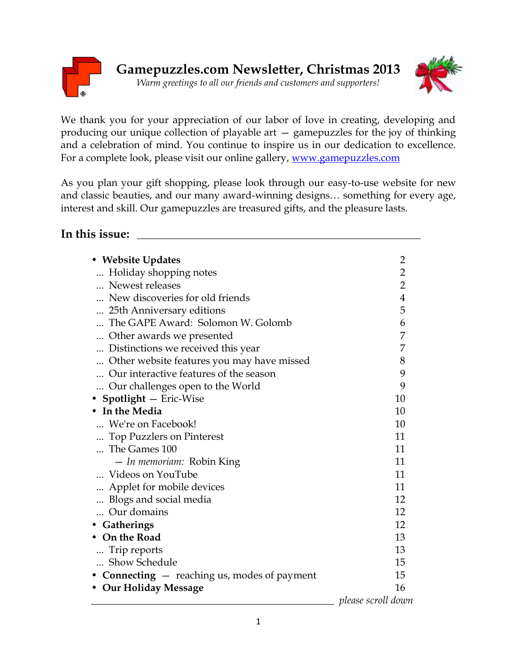



We thank you for your appreciation of our labor of love in creating, developing and producing our unique collection of playable art — gamepuzzles for the joy of thinking and a celebration of mind. You continue to inspire us in our dedication to excellence. For a complete look, please visit our online gallery, [www.gamepuzzles.com](http://www.gamepuzzles.com/) 

As you plan your gift shopping, please look through our easy-to-use website for new and classic beauties, and our many award-winning designs… something for every age, interest and skill. Our gamepuzzles are treasured gifts, and the pleasure lasts.

### **In this issue:** \_\_\_\_\_\_\_\_\_\_\_\_\_\_\_\_\_\_\_\_\_\_\_\_\_\_\_\_\_\_\_\_\_\_\_\_\_\_\_\_\_\_\_\_\_\_\_\_\_\_\_\_\_\_\_\_

| • Website Updates                                              | 2                  |
|----------------------------------------------------------------|--------------------|
| Holiday shopping notes                                         | $\overline{c}$     |
| Newest releases                                                | $\overline{2}$     |
| New discoveries for old friends                                | $\overline{4}$     |
| 25th Anniversary editions                                      | 5                  |
| The GAPE Award: Solomon W. Golomb                              | 6                  |
| Other awards we presented                                      | 7                  |
| Distinctions we received this year                             | 7                  |
| Other website features you may have missed                     | 8                  |
| Our interactive features of the season                         | 9                  |
| Our challenges open to the World                               | 9                  |
| • Spotlight - Eric-Wise                                        | 10                 |
| • In the Media                                                 | 10                 |
| We're on Facebook!                                             | 10                 |
| Top Puzzlers on Pinterest                                      | 11                 |
| The Games 100                                                  | 11                 |
| <i>- In memoriam:</i> Robin King                               | 11                 |
| Videos on YouTube                                              | 11                 |
| Applet for mobile devices                                      | 11                 |
| Blogs and social media                                         | 12                 |
| Our domains                                                    | 12                 |
| Gatherings                                                     | 12                 |
| On the Road                                                    | 13                 |
| Trip reports                                                   | 13                 |
| Show Schedule                                                  | 15                 |
| <b>Connecting <math>-</math></b> reaching us, modes of payment | 15                 |
| • Our Holiday Message                                          | 16                 |
|                                                                | please scroll down |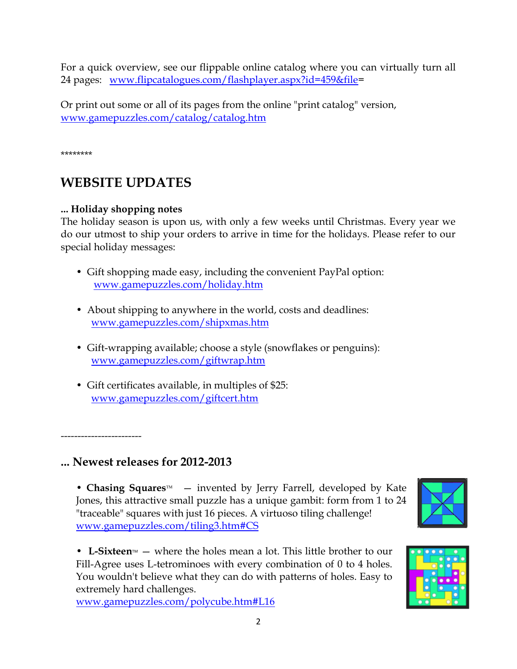For a quick overview, see our flippable online catalog where you can virtually turn all 24 pages: [www.flipcatalogues.com/flashplayer.aspx?id=459&file=](http://www.flipcatalogues.com/flashplayer.aspx?id=459&file)

Or print out some or all of its pages from the online "print catalog" version, [www.gamepuzzles.com/catalog/catalog.htm](http://www.gamepuzzles.com/catalog/catalog.htm) 

\*\*\*\*\*\*\*\*

# **WEBSITE UPDATES**

#### **... Holiday shopping notes**

The holiday season is upon us, with only a few weeks until Christmas. Every year we do our utmost to ship your orders to arrive in time for the holidays. Please refer to our special holiday messages:

- Gift shopping made easy, including the convenient PayPal option: [www.gamepuzzles.com/holiday.htm](http://www.gamepuzzles.com/holiday.htm)
- About shipping to anywhere in the world, costs and deadlines: [www.gamepuzzles.com/shipxmas.htm](http://www.gamepuzzles.com/shipxmas.htm)
- Gift-wrapping available; choose a style (snowflakes or penguins): [www.gamepuzzles.com/giftwrap.htm](http://www.gamepuzzles.com/giftwrap.htm)
- Gift certificates available, in multiples of \$25: [www.gamepuzzles.com/giftcert.htm](http://www.gamepuzzles.com/giftcert.htm)

------------------------

## **... Newest releases for 2012-2013**

• **Chasing Squares**<sup>M</sup> – invented by Jerry Farrell, developed by Kate Jones, this attractive small puzzle has a unique gambit: form from 1 to 24 "traceable" squares with just 16 pieces. A virtuoso tiling challenge! [www.gamepuzzles.com/tiling3.htm#CS](http://www.gamepuzzles.com/tiling3.htm#CS)



• L-Sixteen<sup> $M$ </sup> – where the holes mean a lot. This little brother to our Fill-Agree uses L-tetrominoes with every combination of 0 to 4 holes. You wouldn't believe what they can do with patterns of holes. Easy to extremely hard challenges.

[www.gamepuzzles.com/polycube.htm#L16](http://www.gamepuzzles.com/polycube.htm#L16)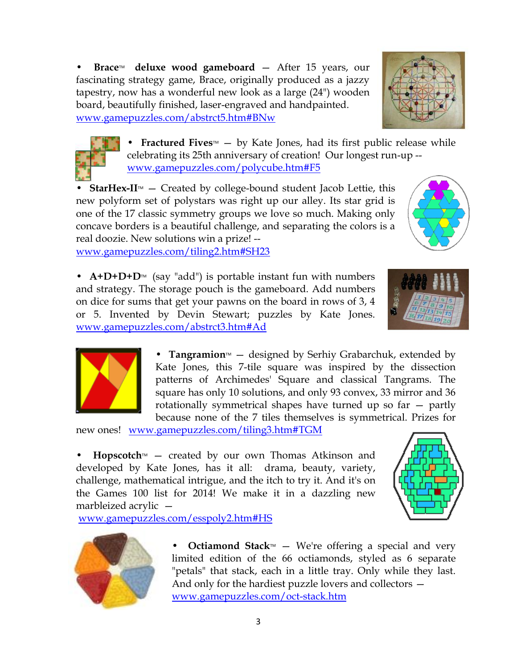**Brace<sup>™</sup>** deluxe wood gameboard – After 15 years, our fascinating strategy game, Brace, originally produced as a jazzy tapestry, now has a wonderful new look as a large (24") wooden board, beautifully finished, laser-engraved and handpainted. [www.gamepuzzles.com/abstrct5.htm#BNw](http://www.gamepuzzles.com/abstrct5.htm#BNw)

> • **Fractured Fives**<sup>M</sup> – by Kate Jones, had its first public release while celebrating its 25th anniversary of creation! Our longest run-up - [www.gamepuzzles.com/polycube.htm#F5](http://www.gamepuzzles.com/polycube.htm#F5)

**StarHex-II** $M$  – Created by college-bound student Jacob Lettie, this new polyform set of polystars was right up our alley. Its star grid is one of the 17 classic symmetry groups we love so much. Making only concave borders is a beautiful challenge, and separating the colors is a real doozie. New solutions win a prize! - [www.gamepuzzles.com/tiling2.htm#SH23](http://www.gamepuzzles.com/tiling2.htm#SH23) 

• **A+D+D+D**<sup>M</sup> (say "add") is portable instant fun with numbers and strategy. The storage pouch is the gameboard. Add numbers on dice for sums that get your pawns on the board in rows of 3, 4 or 5. Invented by Devin Stewart; puzzles by Kate Jones. [www.gamepuzzles.com/abstrct3.htm#Ad](http://www.gamepuzzles.com/abstrct3.htm#Ad) 

> • **Tangramion**<sup>M</sup> – designed by Serhiy Grabarchuk, extended by Kate Jones, this 7-tile square was inspired by the dissection patterns of Archimedes' Square and classical Tangrams. The square has only 10 solutions, and only 93 convex, 33 mirror and 36 rotationally symmetrical shapes have turned up so far — partly because none of the 7 tiles themselves is symmetrical. Prizes for

new ones! [www.gamepuzzles.com/tiling3.htm#TGM](http://www.gamepuzzles.com/tiling3.htm#TGM) 

 $$ developed by Kate Jones, has it all: drama, beauty, variety, challenge, mathematical intrigue, and the itch to try it. And it's on the Games 100 list for 2014! We make it in a dazzling new marbleized acrylic —

[www.gamepuzzles.com/esspoly2.htm#HS](http://www.gamepuzzles.com/esspoly2.htm#HS) 

• **Octiamond Stack**<sup>M</sup> – We're offering a special and very limited edition of the 66 octiamonds, styled as 6 separate "petals" that stack, each in a little tray. Only while they last. And only for the hardiest puzzle lovers and collectors [www.gamepuzzles.com/oct-stack.htm](http://www.gamepuzzles.com/oct-stack.htm) 









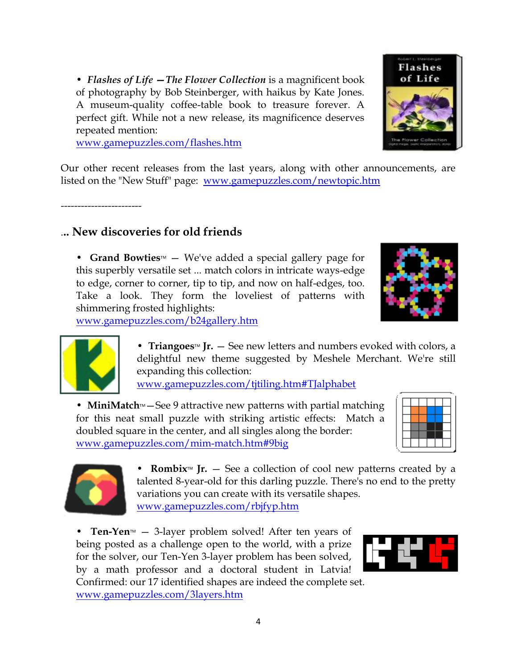• *Flashes of Life —The Flower Collection* is a magnificent book of photography by Bob Steinberger, with haikus by Kate Jones. A museum-quality coffee-table book to treasure forever. A perfect gift. While not a new release, its magnificence deserves repeated mention:

[www.gamepuzzles.com/flashes.htm](http://www.gamepuzzles.com/flashes.htm) 

Our other recent releases from the last years, along with other announcements, are listed on the "New Stuff" page: [www.gamepuzzles.com/newtopic.htm](http://www.gamepuzzles.com/newtopic.htm) 

------------------------

## .**.. New discoveries for old friends**

• **Grand Bowties** – We've added a special gallery page for this superbly versatile set ... match colors in intricate ways-edge to edge, corner to corner, tip to tip, and now on half-edges, too. Take a look. They form the loveliest of patterns with shimmering frosted highlights:

[www.gamepuzzles.com/b24gallery.htm](http://www.gamepuzzles.com/b24gallery.htm) 



• **Triangoes**<sup>M</sup> **Jr.**  $-$  See new letters and numbers evoked with colors, a delightful new theme suggested by Meshele Merchant. We're still expanding this collection:

[www.gamepuzzles.com/tjtiling.htm#TJalphabet](http://www.gamepuzzles.com/tjtiling.htm#TJalphabet) 

• **MiniMatch**<sup>M</sup> – See 9 attractive new patterns with partial matching for this neat small puzzle with striking artistic effects: Match a doubled square in the center, and all singles along the border: [www.gamepuzzles.com/mim-match.htm#9big](http://www.gamepuzzles.com/mim-match.htm#9big) 





• **Rombix**<sup>M</sup> **Jr.**  $-$  See a collection of cool new patterns created by a talented 8-year-old for this darling puzzle. There's no end to the pretty variations you can create with its versatile shapes. [www.gamepuzzles.com/rbjfyp.htm](http://www.gamepuzzles.com/rbjfyp.htm) 

• **Ten-Yen** $M - 3$ -layer problem solved! After ten years of being posted as a challenge open to the world, with a prize for the solver, our Ten-Yen 3-layer problem has been solved, by a math professor and a doctoral student in Latvia! Confirmed: our 17 identified shapes are indeed the complete set.

[www.gamepuzzles.com/3layers.htm](http://www.gamepuzzles.com/3layers.htm) 



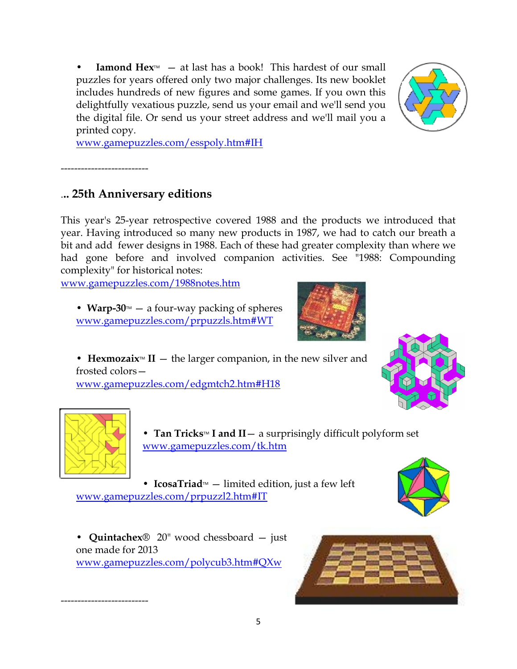**Iamond Hex** $M \sim a$  at last has a book! This hardest of our small puzzles for years offered only two major challenges. Its new booklet includes hundreds of new figures and some games. If you own this delightfully vexatious puzzle, send us your email and we'll send you the digital file. Or send us your street address and we'll mail you a printed copy.



[www.gamepuzzles.com/esspoly.htm#IH](http://www.gamepuzzles.com/esspoly.htm#IH)

--------------------------

## .**.. 25th Anniversary editions**

This year's 25-year retrospective covered 1988 and the products we introduced that year. Having introduced so many new products in 1987, we had to catch our breath a bit and add fewer designs in 1988. Each of these had greater complexity than where we had gone before and involved companion activities. See "1988: Compounding complexity" for historical notes:

[www.gamepuzzles.com/1988notes.htm](http://www.gamepuzzles.com/1988notes.htm) 

• **Warp-30**<sup> $M$ </sup> — a four-way packing of spheres [www.gamepuzzles.com/prpuzzls.htm#WT](http://www.gamepuzzles.com/prpuzzls.htm#WT)



• **Hexmozaix**<sup> $M$ </sup> **II**  $-$  the larger companion, in the new silver and frosted colors—

[www.gamepuzzles.com/edgmtch2.htm#H18](http://www.gamepuzzles.com/edgmtch2.htm#H18)





--------------------------

• **Tan Tricks**<sup>M</sup> **I** and  $II - a$  surprisingly difficult polyform set [www.gamepuzzles.com/tk.htm](http://www.gamepuzzles.com/tk.htm)

• **IcosaTriad** $M$  – limited edition, just a few left [www.gamepuzzles.com/prpuzzl2.htm#IT](http://www.gamepuzzles.com/prpuzzl2.htm#IT)



• **Quintachex**® 20" wood chessboard — just one made for 2013 [www.gamepuzzles.com/polycub3.htm#QXw](http://www.gamepuzzles.com/polycub3.htm#QXw)

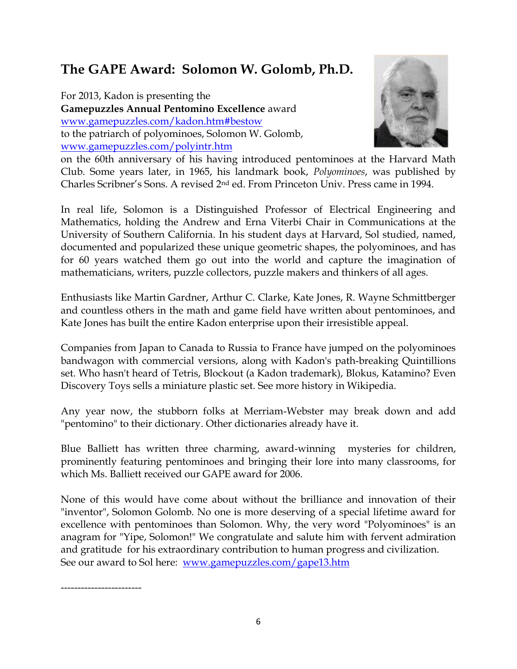# **The GAPE Award: Solomon W. Golomb, Ph.D.**

For 2013, Kadon is presenting the **Gamepuzzles Annual Pentomino Excellence** award [www.gamepuzzles.com/kadon.htm#bestow](http://www.gamepuzzles.com/kadon.htm#bestow) to the patriarch of polyominoes, Solomon W. Golomb, [www.gamepuzzles.com/polyintr.htm](http://www.gamepuzzles.com/polyintr.htm)



on the 60th anniversary of his having introduced pentominoes at the Harvard Math Club. Some years later, in 1965, his landmark book, *Polyominoes*, was published by Charles Scribner's Sons. A revised 2nd ed. From Princeton Univ. Press came in 1994.

In real life, Solomon is a Distinguished Professor of Electrical Engineering and Mathematics, holding the Andrew and Erna Viterbi Chair in Communications at the University of Southern California. In his student days at Harvard, Sol studied, named, documented and popularized these unique geometric shapes, the polyominoes, and has for 60 years watched them go out into the world and capture the imagination of mathematicians, writers, puzzle collectors, puzzle makers and thinkers of all ages.

Enthusiasts like Martin Gardner, Arthur C. Clarke, Kate Jones, R. Wayne Schmittberger and countless others in the math and game field have written about pentominoes, and Kate Jones has built the entire Kadon enterprise upon their irresistible appeal.

Companies from Japan to Canada to Russia to France have jumped on the polyominoes bandwagon with commercial versions, along with Kadon's path-breaking Quintillions set. Who hasn't heard of Tetris, Blockout (a Kadon trademark), Blokus, Katamino? Even Discovery Toys sells a miniature plastic set. See more history in Wikipedia.

Any year now, the stubborn folks at Merriam-Webster may break down and add "pentomino" to their dictionary. Other dictionaries already have it.

Blue Balliett has written three charming, award-winning mysteries for children, prominently featuring pentominoes and bringing their lore into many classrooms, for which Ms. Balliett received our GAPE award for 2006.

None of this would have come about without the brilliance and innovation of their "inventor", Solomon Golomb. No one is more deserving of a special lifetime award for excellence with pentominoes than Solomon. Why, the very word "Polyominoes" is an anagram for "Yipe, Solomon!" We congratulate and salute him with fervent admiration and gratitude for his extraordinary contribution to human progress and civilization. See our award to Sol here: [www.gamepuzzles.com/gape13.htm](http://www.gamepuzzles.com/gape13.htm)

------------------------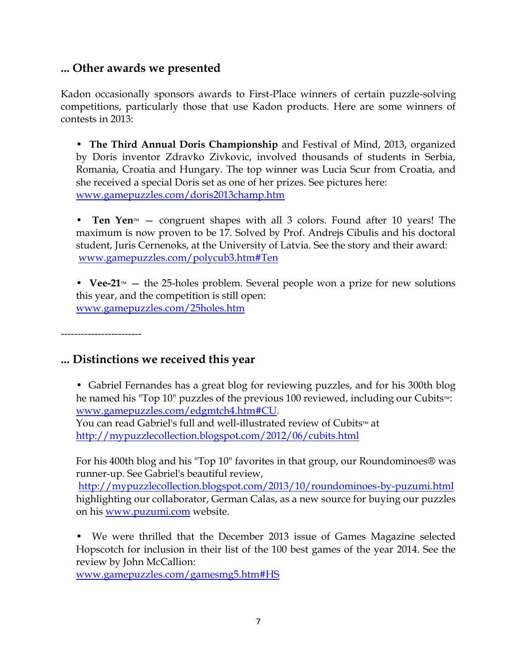### **... Other awards we presented**

Kadon occasionally sponsors awards to First-Place winners of certain puzzle-solving competitions, particularly those that use Kadon products. Here are some winners of contests in 2013:

• **The Third Annual Doris Championship** and Festival of Mind, 2013, organized by Doris inventor Zdravko Zivkovic, involved thousands of students in Serbia, Romania, Croatia and Hungary. The top winner was Lucia Scur from Croatia, and she received a special Doris set as one of her prizes. See pictures here: [www.gamepuzzles.com/doris2013champ.htm](http://www.gamepuzzles.com/doris2013champ.htm)

• **Ten Yen** $\text{M}_{\text{max}}$  — congruent shapes with all 3 colors. Found after 10 years! The maximum is now proven to be 17. Solved by Prof. Andrejs Cibulis and his doctoral student, Juris Cernenoks, at the University of Latvia. See the story and their award: [www.gamepuzzles.com/polycub3.htm#Ten](http://www.gamepuzzles.com/polycub3.htm#Ten) 

• **Vee-21**<sup> $M$ </sup>  $-$  the 25-holes problem. Several people won a prize for new solutions this year, and the competition is still open: [www.gamepuzzles.com/25holes.htm](http://www.gamepuzzles.com/25holes.htm)

------------------------

### **... Distinctions we received this year**

• Gabriel Fernandes has a great blog for reviewing puzzles, and for his 300th blog he named his "Top 10" puzzles of the previous 100 reviewed, including our Cubits<sup>M</sup>: [www.gamepuzzles.com/edgmtch4.htm#CU.](http://www.gamepuzzles.com/edgmtch4.htm#CU)

You can read Gabriel's full and well-illustrated review of Cubits<sup>™</sup> at <http://mypuzzlecollection.blogspot.com/2012/06/cubits.html>

For his 400th blog and his "Top 10" favorites in that group, our Roundominoes® was runner-up. See Gabriel's beautiful review,

<http://mypuzzlecollection.blogspot.com/2013/10/roundominoes-by-puzumi.html> highlighting our collaborator, German Calas, as a new source for buying our puzzles on his <u>www.puzumi.com</u> website.

• We were thrilled that the December 2013 issue of Games Magazine selected Hopscotch for inclusion in their list of the 100 best games of the year 2014. See the review by John McCallion:

[www.gamepuzzles.com/gamesmg5.htm#HS](http://www.gamepuzzles.com/gamesmg5.htm#HS)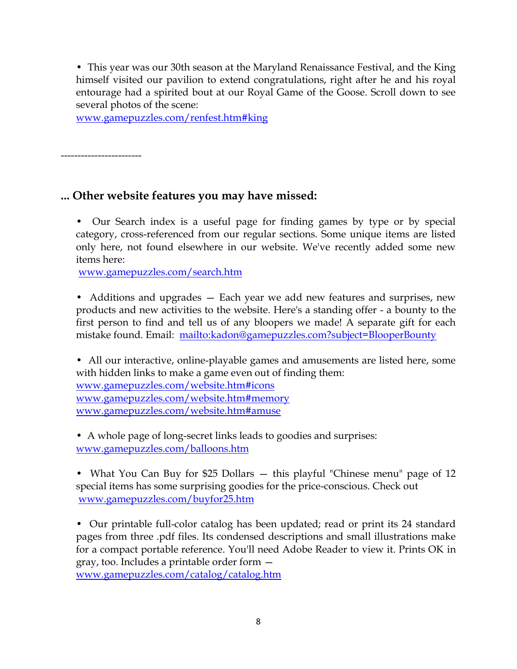• This year was our 30th season at the Maryland Renaissance Festival, and the King himself visited our pavilion to extend congratulations, right after he and his royal entourage had a spirited bout at our Royal Game of the Goose. Scroll down to see several photos of the scene:

[www.gamepuzzles.com/renfest.htm#king](http://www.gamepuzzles.com/renfest.htm#king)

------------------------

### **... Other website features you may have missed:**

• Our Search index is a useful page for finding games by type or by special category, cross-referenced from our regular sections. Some unique items are listed only here, not found elsewhere in our website. We've recently added some new items here:

[www.gamepuzzles.com/search.htm](http://www.gamepuzzles.com/search.htm) 

• Additions and upgrades – Each year we add new features and surprises, new products and new activities to the website. Here's a standing offer - a bounty to the first person to find and tell us of any bloopers we made! A separate gift for each mistake found. Email: <mailto:kadon@gamepuzzles.com?subject=BlooperBounty>

• All our interactive, online-playable games and amusements are listed here, some with hidden links to make a game even out of finding them: [www.gamepuzzles.com/website.htm#icons](http://www.gamepuzzles.com/website.htm#icons)  [www.gamepuzzles.com/website.htm#memory](http://www.gamepuzzles.com/website.htm#memory)  [www.gamepuzzles.com/website.htm#amuse](http://www.gamepuzzles.com/website.htm#amuse) 

• A whole page of long-secret links leads to goodies and surprises: [www.gamepuzzles.com/balloons.htm](http://www.gamepuzzles.com/balloons.htm) 

• What You Can Buy for \$25 Dollars – this playful "Chinese menu" page of 12 special items has some surprising goodies for the price-conscious. Check out [www.gamepuzzles.com/buyfor25.htm](http://www.gamepuzzles.com/buyfor25.htm) 

• Our printable full-color catalog has been updated; read or print its 24 standard pages from three .pdf files. Its condensed descriptions and small illustrations make for a compact portable reference. You'll need Adobe Reader to view it. Prints OK in gray, too. Includes a printable order form [www.gamepuzzles.com/catalog/catalog.htm](http://www.gamepuzzles.com/catalog/catalog.htm)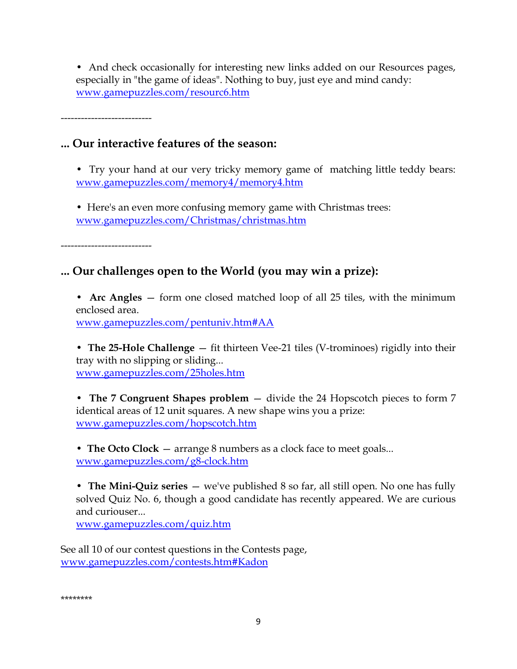• And check occasionally for interesting new links added on our Resources pages, especially in "the game of ideas". Nothing to buy, just eye and mind candy: [www.gamepuzzles.com/resourc6.htm](http://www.gamepuzzles.com/resourc6.htm) 

---------------------------

### **... Our interactive features of the season:**

• Try your hand at our very tricky memory game of matching little teddy bears: [www.gamepuzzles.com/memory4/memory4.htm](http://www.gamepuzzles.com/memory4/memory4.htm) 

• Here's an even more confusing memory game with Christmas trees: [www.gamepuzzles.com/Christmas/christmas.htm](http://www.gamepuzzles.com/Christmas/christmas.htm) 

-----------------------

## **... Our challenges open to the World (you may win a prize):**

• **Arc Angles** – form one closed matched loop of all 25 tiles, with the minimum enclosed area.

[www.gamepuzzles.com/pentuniv.htm#AA](http://www.gamepuzzles.com/pentuniv.htm#AA) 

• **The 25-Hole Challenge** — fit thirteen Vee-21 tiles (V-trominoes) rigidly into their tray with no slipping or sliding... [www.gamepuzzles.com/25holes.htm](http://www.gamepuzzles.com/25holes.htm) 

• **The 7 Congruent Shapes problem** — divide the 24 Hopscotch pieces to form 7 identical areas of 12 unit squares. A new shape wins you a prize: [www.gamepuzzles.com/hopscotch.htm](http://www.gamepuzzles.com/hopscotch.htm) 

• **The Octo Clock** — arrange 8 numbers as a clock face to meet goals... [www.gamepuzzles.com/g8-clock.htm](http://www.gamepuzzles.com/g8-clock.htm) 

• **The Mini-Quiz series** — we've published 8 so far, all still open. No one has fully solved Quiz No. 6, though a good candidate has recently appeared. We are curious and curiouser...

[www.gamepuzzles.com/quiz.htm](http://www.gamepuzzles.com/quiz.htm) 

See all 10 of our contest questions in the Contests page, [www.gamepuzzles.com/contests.htm#Kadon](http://www.gamepuzzles.com/contests.htm#Kadon)

\*\*\*\*\*\*\*\*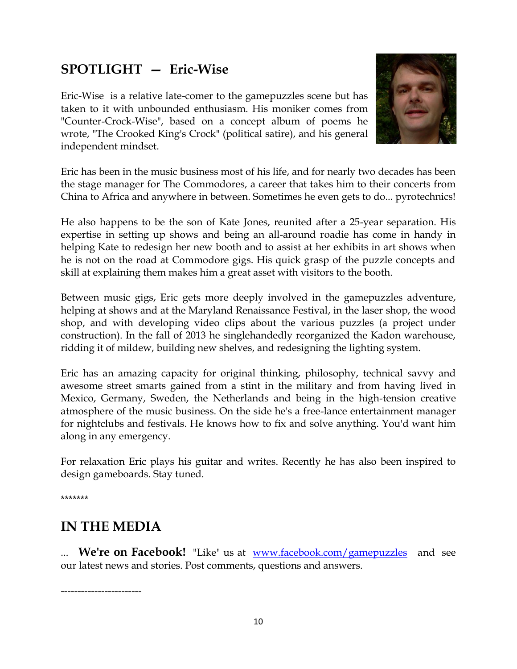# **SPOTLIGHT — Eric-Wise**

Eric-Wise is a relative late-comer to the gamepuzzles scene but has taken to it with unbounded enthusiasm. His moniker comes from "Counter-Crock-Wise", based on a concept album of poems he wrote, "The Crooked King's Crock" (political satire), and his general independent mindset.



Eric has been in the music business most of his life, and for nearly two decades has been the stage manager for The Commodores, a career that takes him to their concerts from China to Africa and anywhere in between. Sometimes he even gets to do... pyrotechnics!

He also happens to be the son of Kate Jones, reunited after a 25-year separation. His expertise in setting up shows and being an all-around roadie has come in handy in helping Kate to redesign her new booth and to assist at her exhibits in art shows when he is not on the road at Commodore gigs. His quick grasp of the puzzle concepts and skill at explaining them makes him a great asset with visitors to the booth.

Between music gigs, Eric gets more deeply involved in the gamepuzzles adventure, helping at shows and at the Maryland Renaissance Festival, in the laser shop, the wood shop, and with developing video clips about the various puzzles (a project under construction). In the fall of 2013 he singlehandedly reorganized the Kadon warehouse, ridding it of mildew, building new shelves, and redesigning the lighting system.

Eric has an amazing capacity for original thinking, philosophy, technical savvy and awesome street smarts gained from a stint in the military and from having lived in Mexico, Germany, Sweden, the Netherlands and being in the high-tension creative atmosphere of the music business. On the side he's a free-lance entertainment manager for nightclubs and festivals. He knows how to fix and solve anything. You'd want him along in any emergency.

For relaxation Eric plays his guitar and writes. Recently he has also been inspired to design gameboards. Stay tuned.

\*\*\*\*\*\*\*

## **IN THE MEDIA**

------------------------

... **We're on Facebook!** "Like" us at <u>www.facebook.com/gamepuzzles</u> and see our latest news and stories. Post comments, questions and answers.

10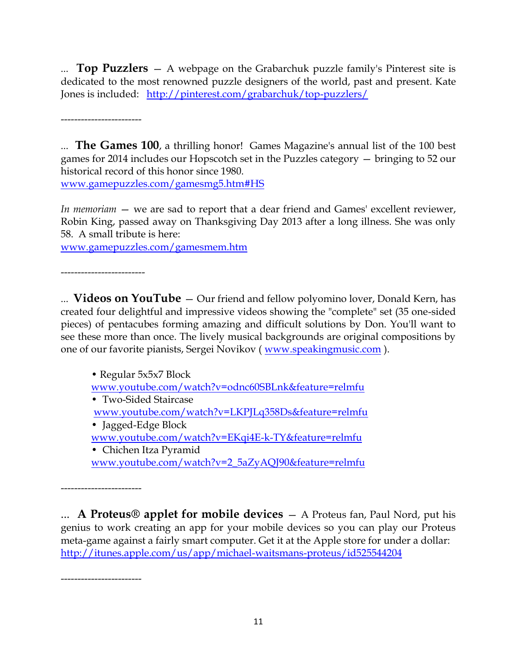... **Top Puzzlers** — A webpage on the Grabarchuk puzzle family's Pinterest site is dedicated to the most renowned puzzle designers of the world, past and present. Kate Jones is included: <http://pinterest.com/grabarchuk/top-puzzlers/>

------------------------

... **The Games 100**, a thrilling honor! Games Magazine's annual list of the 100 best games for 2014 includes our Hopscotch set in the Puzzles category — bringing to 52 our historical record of this honor since 1980.

[www.gamepuzzles.com/gamesmg5.htm#HS](http://www.gamepuzzles.com/gamesmg5.htm#HS)

*In memoriam* — we are sad to report that a dear friend and Games' excellent reviewer, Robin King, passed away on Thanksgiving Day 2013 after a long illness. She was only 58. A small tribute is here:

[www.gamepuzzles.com/gamesmem.htm](http://www.gamepuzzles.com/gamesmem.htm)

-------------------------

... **Videos on YouTube** — Our friend and fellow polyomino lover, Donald Kern, has created four delightful and impressive videos showing the "complete" set (35 one-sided pieces) of pentacubes forming amazing and difficult solutions by Don. You'll want to see these more than once. The lively musical backgrounds are original compositions by one of our favorite pianists, Sergei Novikov ( [www.speakingmusic.com](http://www.speakingmusic.com/) ).

• Regular 5x5x7 Block [www.youtube.com/watch?v=odnc60SBLnk&feature=relmfu](http://www.youtube.com/watch?v=odnc60SBLnk&feature=relmfu)  • Two-Sided Staircase [www.youtube.com/watch?v=LKPJLq358Ds&feature=relmfu](http://www.youtube.com/watch?v=LKPJLq358Ds&feature=relmfu)  • Jagged-Edge Block [www.youtube.com/watch?v=EKqi4E-k-TY&feature=relmfu](http://www.youtube.com/watch?v=EKqi4E-k-TY&feature=relmfu)  • Chichen Itza Pyramid

[www.youtube.com/watch?v=2\\_5aZyAQJ90&feature=relmfu](http://www.youtube.com/watch?v=2_5aZyAQJ90&feature=relmfu) 

------------------------

... **A Proteus® applet for mobile devices** — A Proteus fan, Paul Nord, put his genius to work creating an app for your mobile devices so you can play our Proteus meta-game against a fairly smart computer. Get it at the Apple store for under a dollar: <http://itunes.apple.com/us/app/michael-waitsmans-proteus/id525544204>

------------------------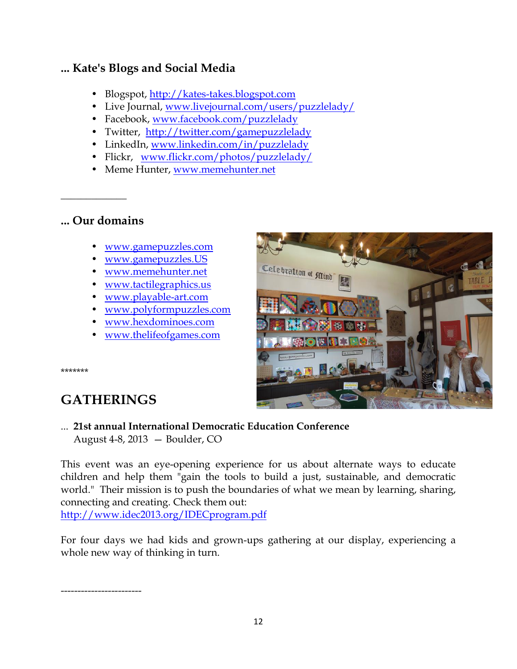## **... Kate's Blogs and Social Media**

- Blogspot, http://kates-takes.blogspot.com
- Live Journal, [www.livejournal.com/users/puzzlelady/](http://www.livejournal.com/users/puzzlelady/)
- Facebook, [www.facebook.com/puzzlelady](http://www.facebook.com/puzzlelady)
- Twitter, <http://twitter.com/gamepuzzlelady>
- LinkedIn, [www.linkedin.com/in/puzzlelady](http://www.linkedin.com/in/puzzlelady)
- Flickr, [www.flickr.com/photos/puzzlelady/](http://www.flickr.com/photos/puzzlelady/)
- Meme Hunter, [www.memehunter.net](http://www.memehunter.net/)

#### **... Our domains**

 $\overline{\phantom{a}}$  , where  $\overline{\phantom{a}}$ 

- [www.gamepuzzles.com](http://www.gamepuzzles.com/)
- [www.gamepuzzles.US](http://www.gamepuzzles.us/)
- [www.memehunter.net](http://www.memehunter.net/)
- [www.tactilegraphics.us](http://www.tactilegraphics.us/)
- [www.playable-art.com](http://www.playable-art.com/)
- [www.polyformpuzzles.com](http://www.polyformpuzzles.com/)
- [www.hexdominoes.com](http://www.hexdominoes.com/)
- [www.thelifeofgames.com](http://www.thelifeofgames.com/)



\*\*\*\*\*\*\*

# **GATHERINGS**

... **21st annual International Democratic Education Conference** August 4-8, 2013 — Boulder, CO

This event was an eye-opening experience for us about alternate ways to educate children and help them "gain the tools to build a just, sustainable, and democratic world." Their mission is to push the boundaries of what we mean by learning, sharing, connecting and creating. Check them out: <http://www.idec2013.org/IDECprogram.pdf>

For four days we had kids and grown-ups gathering at our display, experiencing a whole new way of thinking in turn.

------------------------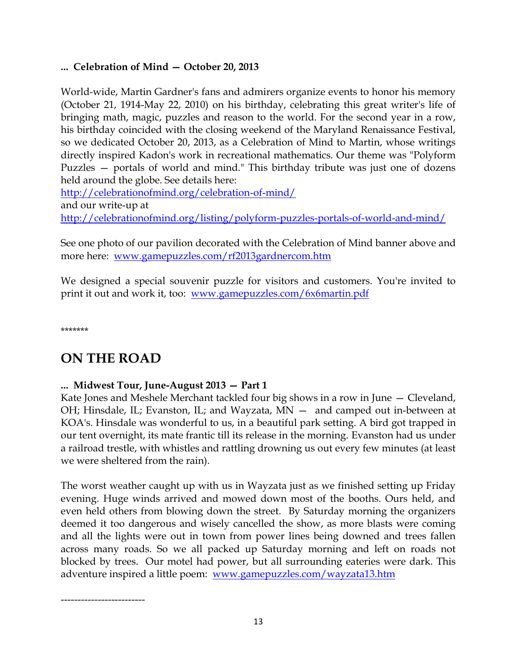#### **... Celebration of Mind — October 20, 2013**

World-wide, Martin Gardner's fans and admirers organize events to honor his memory (October 21, 1914-May 22, 2010) on his birthday, celebrating this great writer's life of bringing math, magic, puzzles and reason to the world. For the second year in a row, his birthday coincided with the closing weekend of the Maryland Renaissance Festival, so we dedicated October 20, 2013, as a Celebration of Mind to Martin, whose writings directly inspired Kadon's work in recreational mathematics. Our theme was "Polyform Puzzles — portals of world and mind." This birthday tribute was just one of dozens held around the globe. See details here:

<http://celebrationofmind.org/celebration-of-mind/>

and our write-up at

<http://celebrationofmind.org/listing/polyform-puzzles-portals-of-world-and-mind/>

See one photo of our pavilion decorated with the Celebration of Mind banner above and more here: [www.gamepuzzles.com/rf2013gardnercom.htm](http://www.gamepuzzles.com/rf2013gardnercom.htm)

We designed a special souvenir puzzle for visitors and customers. You're invited to print it out and work it, too: [www.gamepuzzles.com/6x6martin.pdf](http://www.gamepuzzles.com/6x6martin.pdf)

\*\*\*\*\*\*\*

# **ON THE ROAD**

#### **... Midwest Tour, June-August 2013 — Part 1**

Kate Jones and Meshele Merchant tackled four big shows in a row in June — Cleveland, OH; Hinsdale, IL; Evanston, IL; and Wayzata, MN — and camped out in-between at KOA's. Hinsdale was wonderful to us, in a beautiful park setting. A bird got trapped in our tent overnight, its mate frantic till its release in the morning. Evanston had us under a railroad trestle, with whistles and rattling drowning us out every few minutes (at least we were sheltered from the rain).

The worst weather caught up with us in Wayzata just as we finished setting up Friday evening. Huge winds arrived and mowed down most of the booths. Ours held, and even held others from blowing down the street. By Saturday morning the organizers deemed it too dangerous and wisely cancelled the show, as more blasts were coming and all the lights were out in town from power lines being downed and trees fallen across many roads. So we all packed up Saturday morning and left on roads not blocked by trees. Our motel had power, but all surrounding eateries were dark. This adventure inspired a little poem: [www.gamepuzzles.com/wayzata13.htm](http://www.gamepuzzles.com/wayzata13.htm)

-------------------------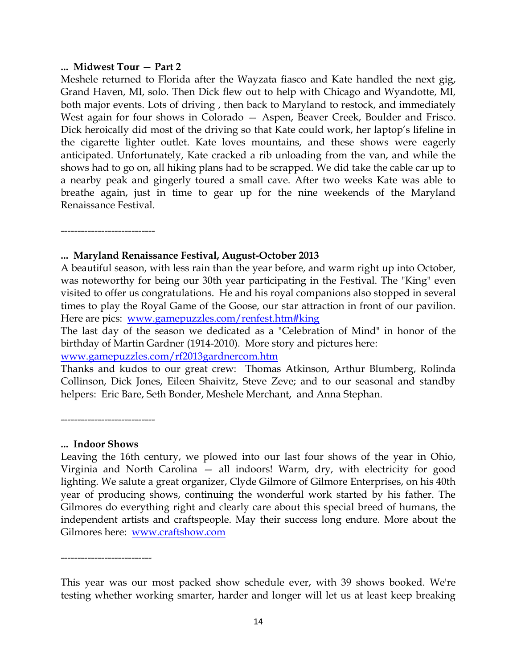#### **... Midwest Tour — Part 2**

Meshele returned to Florida after the Wayzata fiasco and Kate handled the next gig, Grand Haven, MI, solo. Then Dick flew out to help with Chicago and Wyandotte, MI, both major events. Lots of driving , then back to Maryland to restock, and immediately West again for four shows in Colorado — Aspen, Beaver Creek, Boulder and Frisco. Dick heroically did most of the driving so that Kate could work, her laptop's lifeline in the cigarette lighter outlet. Kate loves mountains, and these shows were eagerly anticipated. Unfortunately, Kate cracked a rib unloading from the van, and while the shows had to go on, all hiking plans had to be scrapped. We did take the cable car up to a nearby peak and gingerly toured a small cave. After two weeks Kate was able to breathe again, just in time to gear up for the nine weekends of the Maryland Renaissance Festival.

----------------------------

#### **... Maryland Renaissance Festival, August-October 2013**

A beautiful season, with less rain than the year before, and warm right up into October, was noteworthy for being our 30th year participating in the Festival. The "King" even visited to offer us congratulations. He and his royal companions also stopped in several times to play the Royal Game of the Goose, our star attraction in front of our pavilion. Here are pics: [www.gamepuzzles.com/renfest.htm#king](http://www.gamepuzzles.com/renfest.htm#king)

The last day of the season we dedicated as a "Celebration of Mind" in honor of the birthday of Martin Gardner (1914-2010). More story and pictures here:

[www.gamepuzzles.com/rf2013gardnercom.htm](http://www.gamepuzzles.com/rf2013gardnercom.htm)

Thanks and kudos to our great crew: Thomas Atkinson, Arthur Blumberg, Rolinda Collinson, Dick Jones, Eileen Shaivitz, Steve Zeve; and to our seasonal and standby helpers: Eric Bare, Seth Bonder, Meshele Merchant, and Anna Stephan.

----------------------------

#### **... Indoor Shows**

Leaving the 16th century, we plowed into our last four shows of the year in Ohio, Virginia and North Carolina — all indoors! Warm, dry, with electricity for good lighting. We salute a great organizer, Clyde Gilmore of Gilmore Enterprises, on his 40th year of producing shows, continuing the wonderful work started by his father. The Gilmores do everything right and clearly care about this special breed of humans, the independent artists and craftspeople. May their success long endure. More about the Gilmores here: [www.craftshow.com](http://www.craftshow.com/)

-----------------------

This year was our most packed show schedule ever, with 39 shows booked. We're testing whether working smarter, harder and longer will let us at least keep breaking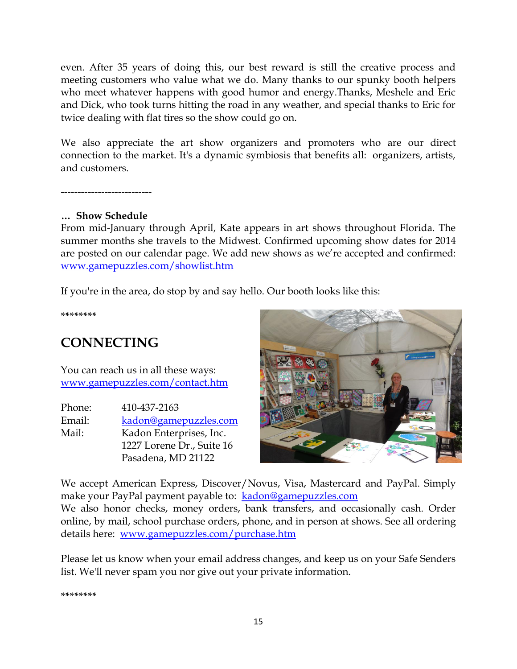even. After 35 years of doing this, our best reward is still the creative process and meeting customers who value what we do. Many thanks to our spunky booth helpers who meet whatever happens with good humor and energy.Thanks, Meshele and Eric and Dick, who took turns hitting the road in any weather, and special thanks to Eric for twice dealing with flat tires so the show could go on.

We also appreciate the art show organizers and promoters who are our direct connection to the market. It's a dynamic symbiosis that benefits all: organizers, artists, and customers.

-----------------------

#### **… Show Schedule**

From mid-January through April, Kate appears in art shows throughout Florida. The summer months she travels to the Midwest. Confirmed upcoming show dates for 2014 are posted on our calendar page. We add new shows as we're accepted and confirmed: [www.gamepuzzles.com/showlist.htm](http://www.gamepuzzles.com/showlist.htm)

If you're in the area, do stop by and say hello. Our booth looks like this:

**\*\*\*\*\*\*\*\***

# **CONNECTING**

You can reach us in all these ways: [www.gamepuzzles.com/contact.htm](http://www.gamepuzzles.com/contact.htm)

| Phone: | 410-437-2163              |
|--------|---------------------------|
| Email: | kadon@gamepuzzles.com     |
| Mail:  | Kadon Enterprises, Inc.   |
|        | 1227 Lorene Dr., Suite 16 |
|        | Pasadena, MD 21122        |



We accept American Express, Discover/Novus, Visa, Mastercard and PayPal. Simply make your PayPal payment payable to: [kadon@gamepuzzles.com](mailto:kadon@gamepuzzles.com) We also honor checks, money orders, bank transfers, and occasionally cash. Order

online, by mail, school purchase orders, phone, and in person at shows. See all ordering details here: [www.gamepuzzles.com/purchase.htm](http://www.gamepuzzles.com/purchase.htm)

Please let us know when your email address changes, and keep us on your Safe Senders list. We'll never spam you nor give out your private information.

**\*\*\*\*\*\*\*\***